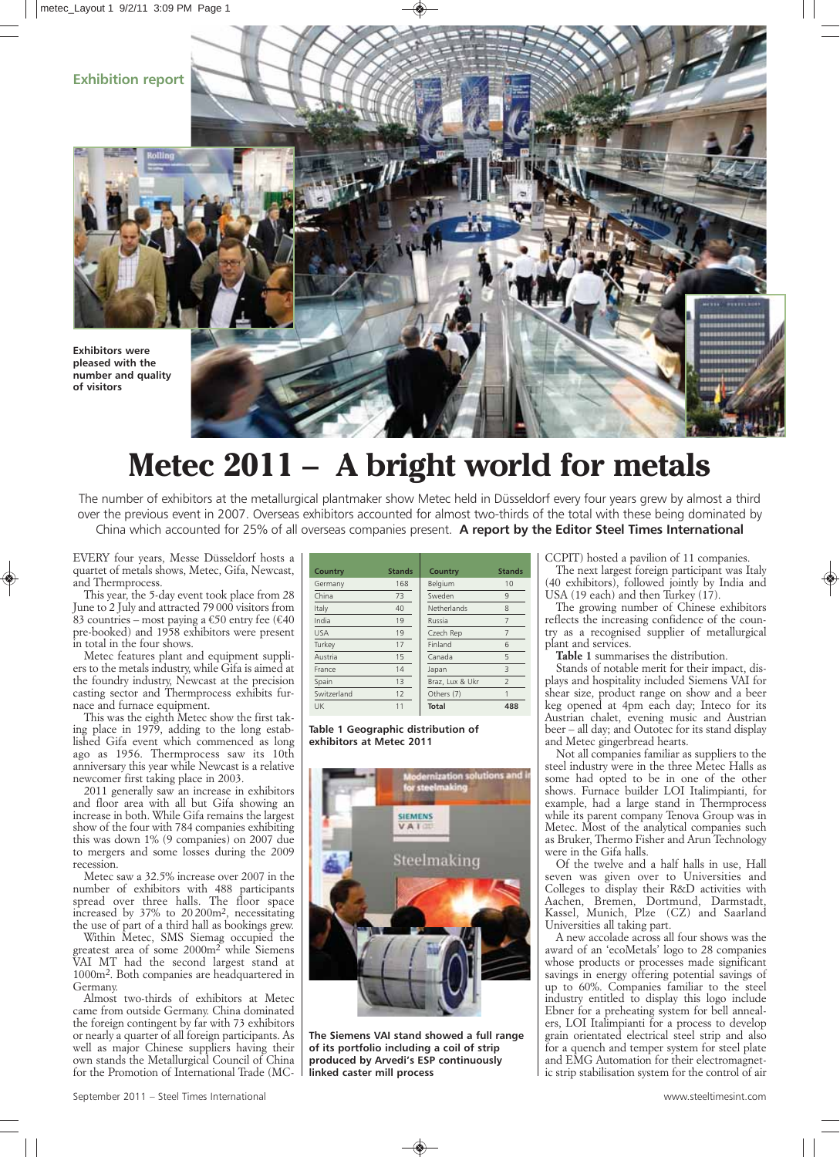## **Exhibition report**





## **Metec 2011 – A bright world for metals**

The number of exhibitors at the metallurgical plantmaker show Metec held in Düsseldorf every four years grew by almost a third over the previous event in 2007. Overseas exhibitors accounted for almost two-thirds of the total with these being dominated by China which accounted for 25% of all overseas companies present. **A report by the Editor Steel Times International**

*EVERY four years, Messe Düsseldorf hosts a quartet of metals shows, Metec, Gifa, Newcast, and Thermprocess.*

*This year, the 5-day event took place from 28 June to 2 July and attracted 79 000 visitors from 83 countries – most paying a €50 entry fee (€40 pre-booked) and 1958 exhibitors were present in total in the four shows.*

*Metec features plant and equipment suppliers to the metals industry, while Gifa is aimed at the foundry industry, Newcast at the precision casting sector and Thermprocess exhibits furnace and furnace equipment.*

*This was the eighth Metec show the first taking place in 1979, adding to the long established Gifa event which commenced as long ago as 1956. Thermprocess saw its 10th anniversary this year while Newcast is a relative newcomer first taking place in 2003.*

*2011 generally saw an increase in exhibitors and floor area with all but Gifa showing an increase in both. While Gifa remains the largest show of the four with 784 companies exhibiting this was down 1% (9 companies) on 2007 due to mergers and some losses during the 2009 recession.*

*Metec saw a 32.5% increase over 2007 in the number of exhibitors with 488 participants spread over three halls. The floor space increased by 37% to 20 200m2, necessitating the use of part of a third hall as bookings grew.*

*Within Metec, SMS Siemag occupied the greatest area of some 2000m2 while Siemens VAI MT had the second largest stand at 1000m2. Both companies are headquartered in Germany.*

*Almost two-thirds of exhibitors at Metec came from outside Germany. China dominated the foreign contingent by far with 73 exhibitors or nearly a quarter of all foreign participants. As well as major Chinese suppliers having their own stands the Metallurgical Council of China for the Promotion of International Trade (MC-*

| Country     | <b>Stands</b> | <b>Country</b>  | <b>Stands</b>            |
|-------------|---------------|-----------------|--------------------------|
| Germany     | 168           | Belgium         | 10                       |
| China       | 73            | Sweden          | 9                        |
| Italy       | 40            | Netherlands     | 8                        |
| India       | 19            | Russia          | 7                        |
| <b>USA</b>  | 19            | Czech Rep       | 7                        |
| Turkey      | 17            | Finland         | 6                        |
| Austria     | 15            | Canada          | 5                        |
| France      | 14            | Japan           | 3                        |
| Spain       | 13            | Braz, Lux & Ukr | $\overline{\phantom{a}}$ |
| Switzerland | 12            | Others (7)      | 1                        |
| UK          | 11            | <b>Total</b>    | 488                      |

**Table 1 Geographic distribution of exhibitors at Metec 2011**



**The Siemens VAI stand showed a full range of its portfolio including a coil of strip produced by Arvedi's ESP continuously linked caster mill process**

*CCPIT) hosted a pavilion of 11 companies. The next largest foreign participant was Italy (40 exhibitors), followed jointly by India and USA (19 each) and then Turkey (17).*

*The growing number of Chinese exhibitors reflects the increasing confidence of the country as a recognised supplier of metallurgical plant and services.*

*Table 1 summarises the distribution.*

*Stands of notable merit for their impact, displays and hospitality included Siemens VAI for shear size, product range on show and a beer keg opened at 4pm each day; Inteco for its Austrian chalet, evening music and Austrian beer – all day; and Outotec for its stand display and Metec gingerbread hearts.* 

*Not all companies familiar as suppliers to the steel industry were in the three Metec Halls as some had opted to be in one of the other shows. Furnace builder LOI Italimpianti, for example, had a large stand in Thermprocess while its parent company Tenova Group was in Metec. Most of the analytical companies such as Bruker, Thermo Fisher and Arun Technology were in the Gifa halls.*

*Of the twelve and a half halls in use, Hall seven was given over to Universities and Colleges to display their R&D activities with Aachen, Bremen, Dortmund, Darmstadt, Kassel, Munich, Plze (CZ) and Saarland Universities all taking part.*

*A new accolade across all four shows was the award of an 'ecoMetals' logo to 28 companies whose products or processes made significant savings in energy offering potential savings of up to 60%. Companies familiar to the steel industry entitled to display this logo include Ebner for a preheating system for bell annealers, LOI Italimpianti for a process to develop grain orientated electrical steel strip and also for a quench and temper system for steel plate and EMG Automation for their electromagnetic strip stabilisation system for the control of air*